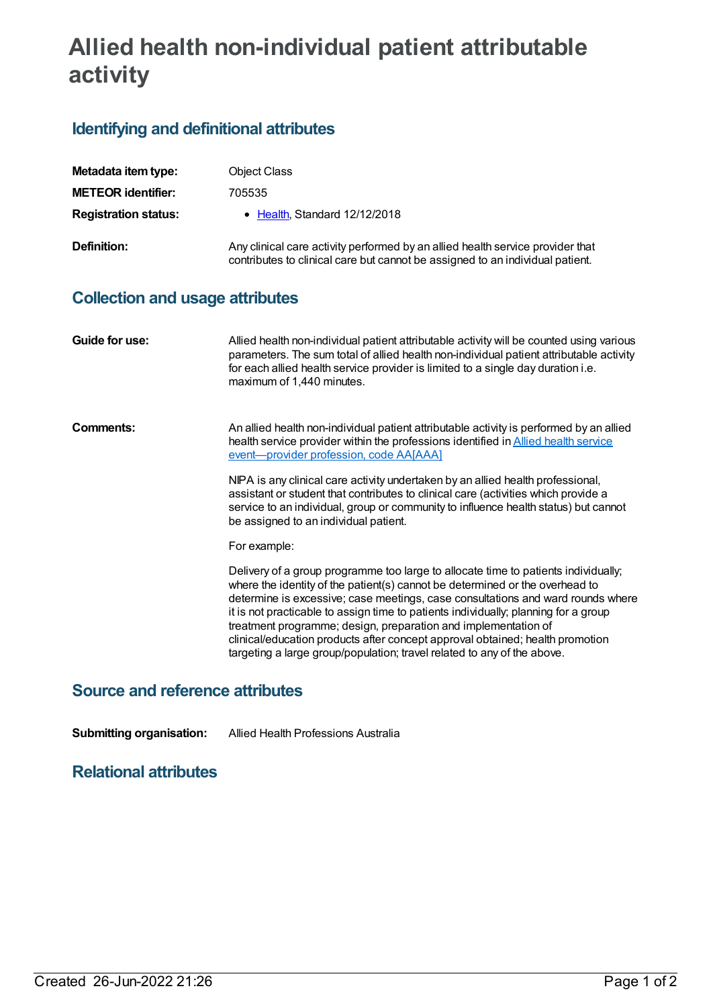## **Allied health non-individual patient attributable activity**

## **Identifying and definitional attributes**

| Metadata item type:                    | <b>Object Class</b>                                                                                                                                                                                                                                                                                                                                                                                                                                                                                                                                                        |
|----------------------------------------|----------------------------------------------------------------------------------------------------------------------------------------------------------------------------------------------------------------------------------------------------------------------------------------------------------------------------------------------------------------------------------------------------------------------------------------------------------------------------------------------------------------------------------------------------------------------------|
| <b>METEOR identifier:</b>              | 705535                                                                                                                                                                                                                                                                                                                                                                                                                                                                                                                                                                     |
| <b>Registration status:</b>            | • Health, Standard 12/12/2018                                                                                                                                                                                                                                                                                                                                                                                                                                                                                                                                              |
| <b>Definition:</b>                     | Any clinical care activity performed by an allied health service provider that<br>contributes to clinical care but cannot be assigned to an individual patient.                                                                                                                                                                                                                                                                                                                                                                                                            |
| <b>Collection and usage attributes</b> |                                                                                                                                                                                                                                                                                                                                                                                                                                                                                                                                                                            |
| <b>Guide for use:</b>                  | Allied health non-individual patient attributable activity will be counted using various<br>parameters. The sum total of allied health non-individual patient attributable activity<br>for each allied health service provider is limited to a single day duration i.e.<br>maximum of 1,440 minutes.                                                                                                                                                                                                                                                                       |
| <b>Comments:</b>                       | An allied health non-individual patient attributable activity is performed by an allied<br>health service provider within the professions identified in <b>Allied health service</b><br>event-provider profession, code AA[AAA]<br>NIPA is any clinical care activity undertaken by an allied health professional,<br>assistant or student that contributes to clinical care (activities which provide a<br>service to an individual, group or community to influence health status) but cannot<br>be assigned to an individual patient.                                   |
|                                        | For example:                                                                                                                                                                                                                                                                                                                                                                                                                                                                                                                                                               |
|                                        | Delivery of a group programme too large to allocate time to patients individually;<br>where the identity of the patient(s) cannot be determined or the overhead to<br>determine is excessive; case meetings, case consultations and ward rounds where<br>it is not practicable to assign time to patients individually; planning for a group<br>treatment programme; design, preparation and implementation of<br>clinical/education products after concept approval obtained; health promotion<br>targeting a large group/population; travel related to any of the above. |

## **Source and reference attributes**

**Submitting organisation:** Allied Health Professions Australia

## **Relational attributes**